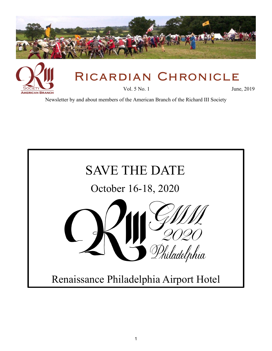



# Ricardian Chronicle

Vol. 5 No. 1 June, 2019

Newsletter by and about members of the American Branch of the Richard III Society

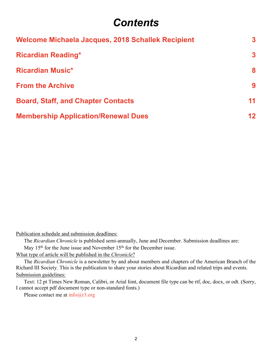## *Contents*

<span id="page-1-0"></span>

| <b>Welcome Michaela Jacques, 2018 Schallek Recipient</b> | $\overline{3}$          |
|----------------------------------------------------------|-------------------------|
| <b>Ricardian Reading*</b>                                | $\overline{\mathbf{3}}$ |
| <b>Ricardian Music*</b>                                  | 8                       |
| <b>From the Archive</b>                                  | 9                       |
| <b>Board, Staff, and Chapter Contacts</b>                | 11                      |
| <b>Membership Application/Renewal Dues</b>               | 12                      |

Publication schedule and submission deadlines:

The *Ricardian Chronicle* is published semi-annually, June and December. Submission deadlines are: May 15<sup>th</sup> for the June issue and November 15<sup>th</sup> for the December issue.

What type of article will be published in the *Chronicle*?

The *Ricardian Chronicle* is a newsletter by and about members and chapters of the American Branch of the Richard III Society. This is the publication to share your stories about Ricardian and related trips and events. Submission guidelines:

Text: 12 pt Times New Roman, Calibri, or Arial font, document file type can be rtf, doc, docx, or odt. (Sorry, I cannot accept pdf document type or non-standard fonts.)

Please contact me at  $info@r3.org$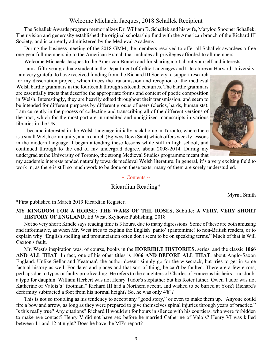#### Welcome Michaela Jacques, 2018 Schallek Recipient

<span id="page-2-0"></span>The Schallek Awards program memorializes Dr. William B. Schallek and his wife, Maryloo Spooner Schallek. Their vision and generosity established the original scholarship fund with the American branch of the Richard III Society, and is currently administered by the Medieval Academy.

During the business meeting of the 2018 GMM, the members resolved to offer all Schallek awardees a free one-year full membership to the American Branch that includes all privileges afforded to all members.

Welcome Michaela Jacques to the American Branch and for sharing a bit about yourself and interests.

I am a fifth-year graduate student in the Department of Celtic Languages and Literatures at Harvard University.

I am very grateful to have received funding from the Richard III Society to support research for my dissertation project, which traces the transmission and reception of the medieval Welsh bardic grammars in the fourteenth through sixteenth centuries. The bardic grammars are essentially tracts that describe the appropriate forms and content of poetic composition in Welsh. Interestingly, they are heavily edited throughout their transmission, and seem to be intended for different purposes by different groups of users (clerics, bards, humanists). I am currently in the process of collecting and transcribing all of the different versions of the tract, which for the most part are in unedited and undigitized manuscripts in various libraries in the UK.

I became interested in the Welsh language initially back home in Toronto, where there is a small Welsh community, and a church (Eglwys Dewi Sant) which offers weekly lessons in the modern language. I began attending these lessons while still in high school, and continued through to the end of my undergrad degree, about 2008-2014. During my undergrad at the University of Toronto, the strong Medieval Studies programme meant that



my academic interests tended naturally towards medieval Welsh literature. In general, it's a very exciting field to work in, as there is still so much work to be done on these texts; many of them are sorely understudied.

#### $\sim$  Contents  $\sim$

#### Ricardian Reading\*

Myrna Smith

\*First published in March 2019 Ricardian Register.

#### **MY KINGDOM FOR A HORSE: THE WARS OF THE ROSES,** Subtitle: **A VERY, VERY SHORT HISTORY OF ENGLAND,** Ed West, Skyhorse Publishing, 2018

Not so very short; Kindle says reading time is 3 hours, due to many digressions. Some of these are both amusing and informative, as when Mr. West tries to explain the English 'panto' (pantomime) to non-British readers, or to explain why "English spelling and pronunciation often don't seem to be on speaking terms." Much of that is Will Caxton's fault.

Mr. West's inspiration was, of course, books in the **HORRIBLE HISTORIES,** series, and the classic **1066 AND ALL THAT**. In fact, one of his other titles is **1066 AND BEFORE ALL THAT**, about Anglo-Saxon England. Unlike Sellar and Yeatman', the author doesn't simply go for the wisecrack, but tries to get in some factual history as well. For dates and places and that sort of thing, he can't be faulted. There are a few errors, perhaps due to typos or faulty proofreading. He refers to the daughters of Charles of France as his heirs—no doubt a typo for dauphin. William Herbert was not Henry Tudor's stepfather but his foster father. Owen Tudor was not Katherine of Valois's "footman." Richard III had a Northern accent, and wished to be buried at York? Richard's deformity subtracted a foot from his normal height? So, he was only 4'8''?

This is not so troubling as his tendency to accept any "good story," or even to make them up. "Anyone could fire a bow and arrow, as long as they were prepared to give themselves spinal injuries through years of practice." Is this really true? Any citations? Richard II would sit for hours in silence with his courtiers, who were forbidden to make eye contact? Henry V did not have sex before he married Catherine of Valois? Henry VI was killed between 11 and 12 at night? Does he have the ME's report?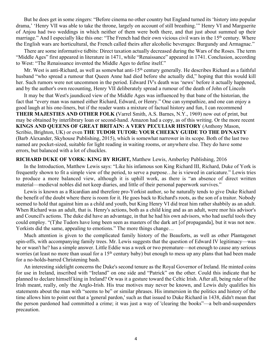But he does get in some zingers: "Before cinema no other country but England turned its 'history into popular drama,' 'Henry VII was able to take the throne, largely on account of still breathing.'" Henry VI and Marguerite of Anjou had two weddings in which neither of them were both there, and that just about summed up their marriage." And I especially like this one: "The French had their own vicious civil wars in the 15<sup>th</sup> century. Where the English wars are horticultural, the French called theirs after alcoholic beverages: Burgundy and Armagnac."

There are some informative tidbits: Direct taxation actually decreased during the Wars of the Roses. The term "Middle Ages" first appeared in literature in 1471, while "Renaissance" appeared in 1741. Conclusion, according to West: "The Renaissance invented the Middle Ages to define itself."

Mr. West is anti-Richard, as well as somewhat anti-15<sup>th</sup> century generally. He describes Richard as a faithful husband "who spread a rumour that Queen Anne had died before she actually did," hoping that this would kill her. Such rumors were not uncommon in the period. Edward IV's death was 'news' before it actually happened, and by the author's own recounting, Henry VII deliberately spread a rumour of the death of John of Lincoln

It may be that West's jaundiced view of the Middle Ages was influenced by that bane of the historian, the fact that "every man was named either Richard, Edward, or Henry." One can sympathize, and one can enjoy a good laugh at his one-liners, but if the reader wants a mixture of factual history and fun, I can recommend **THEIR MAJESTIES AND OTHER FOLK (**Varrel Smith, A.S. Barnes, N.Y., 1969) now out of print, but may be obtained by interlibrary loan or second-hand. Amazon had a copy, as of this writing. Or the more recent **KINGS AND QUEENS OF GREAT BRITAIN: A VERY PECULIAR HISTORY** (Anthony Mason, Scribio, Brighton, UK) or even **THE TUDOR TUTOR: YOUR CHEEKY GUIDE TO THE DYNASTY** (Barb Alexander, Skyhouse Publishing, 2015), which is somewhat narrower in its scope. Both of the last two named are pocket-sized, suitable for light reading in waiting rooms, or anywhere else. They do have some errors, but balanced with a lot of chuckles.

#### **RICHARD DUKE OF YORK: KING BY RIGHT,** Matthew Lewis, Amberley Publishing, 2016

In the Introduction, Matthew Lewis says: "Like his infamous son King Richard III, Richard, Duke of York is frequently shown to fit a simple view of the period, to serve a purpose…he is viewed in caricature." Lewis tries to produce a more balanced view, although it is uphill work, as there is "an absence of direct written material—medieval nobles did not keep diaries, and little of their personal paperwork survives."

Lewis is known as a Ricardian and therefore pro-Yorkist author, so he naturally tends to give Duke Richard the benefit of the doubt where there is room for it. He goes back to Richard's roots, as the son of a traitor. Nobody seemed to hold that against him as a child and youth, but King Henry VI did treat him rather shabbily as an adult. When Richard was an adult, that is. Henry's actions, both as a child king and as an adult, were mor his advisor's and Council's actions. The duke did have an advantage, in that he had his own advisors, who had useful tools they could employ. "(T)he Tudors have long been seen as masters of the dark art [of propaganda], but it was not new. Yorkists did the same, appealing to emotions." The more things change…

Much attention is given to the complicated family history of the Beauforts, as well as other Plantagenet spin-offs, with accompanying family trees. Mr. Lewis suggests that the question of Edward IV legitimacy—was he or wasn't he? has a simple answer. Little Eddie was a week or two premature—not enough to cause any serious worries (at least no more than usual for a 15<sup>th</sup> century baby) but enough to mess up any plans that had been made for a no-holds-barred Christening bash.

An interesting sidelight concerns the Duke's second tenure as the Royal Governor of Ireland. He minted coins for use in Ireland, inscribed with "Ireland" on one side and "Patrick" on the other. Could this indicate that he planned to declare himself king in Ireland? Or was it a gesture toward the Celtic Irish. After all, being ruler of the Irish meant, really, only the Anglo-Irish. His true motives may never be known, and Lewis duly qualifies his statements about the man with "seems to be" or similar phrases. His immersion in the politics and history of the time allows him to point out that a 'general pardon,' such as that issued to Duke Richard in 1438, didn't mean that the person pardoned had committed a crime; it was just a way of 'clearing the books"—a belt-and-suspenders precaution.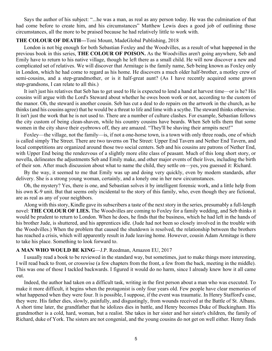Says the author of his subject: "...he was a man, as real as any person today. He was the culmination of that had come before to create him, and his circumstances" Matthew Lewis does a good job of outlining those circumstances, all the more to be praised because he had relatively little to work with.

#### **THE COLOUR OF DEATH—**Toni Mount, MadeGlobal Publishing, 2018

London is not big enough for both Sebastian Foxley and the Woodvilles, as a result of what happened in the previous book in this series, **THE COLOUR OF POISON.** As the Woodvilles aren't going anywhere, Seb and Emily have to return to his native village, though he left there as a small child. He will now discover a new and complicated set of relatives. We will discover that Armitage is the family name, Seb being known as Foxley only in London, which he had come to regard as his home. He discovers a much older half-brother, a motley crew of semi-cousins, and a step-grandmother, or is it half-great aunt? (As I have recently acquired some grown step-grandsons, I can relate to all this.)

It isn't just his relatives that Seb has to get used to He is expected to lend a hand at harvest time—or is he? His cousins will argue with the Lord's Steward about whether he owes boon work or not, according to the custom of the manor. Oh, the steward is another cousin. Seb has cut a deal to do repairs on the artwork in the church, as he thinks (and his cousins agree) that he would be a threat to life and lime with a scythe. The steward thinks otherwise. It isn't just the work that he is not used to. There are a number of culture clashes. For example, Sebastian follows the city custom of being clean-shaven, while his country cousins have beards. When Seb tells them that some women in the city shave their eyebrows off, they are amazed. "They'll be shaving their armpits next!"

Foxley—the village, not the family—is, if not a one-horse town, is a town with only three roads, one of which is called simply The Street. There are two taverns on The Street: Upper End Tavern and Nether End Tavern, and local competitions are organized around those two social centers. Seb and his cousins are patrons of Nether End, with Upper End being the rendezvous of a slightly more elite class of peasant. Much of this long short story, or novella, delineates the adjustments Seb and Emily make, and other major events of their lives, including the birth of their son. After much discussion about what to name the child, they settle on—yes, you guessed it: Richard.

By the way, it seemed to me that Emily was up and doing very quickly, even by modern standards, after delivery. She is a strong young woman, certainly, and a lonely one in her new circumstances.

Oh, the mystery? Yes, there is one, and Sebastian solves it by intelligent forensic work, and a little help from his own K-9 unit. But that seems only incidental to the story of this family, who, even though they are fictional, are as real as any of your neighbors.

Along with this story, Kindle gave its subscribers a taste of the next story in the series, presumably a full-length novel: **THE COLOUR OF LIES.** The Woodvilles are coming to Foxley for a family wedding, and Seb thinks it would be prudent to return to London. When he does, he finds that the business, which he had left in the hands of his brother Jude, is shuttered, and his apprentices idle. (Jude had not been so closely involved in the trouble with the Woodvilles.) When the problem that caused the shutdown is resolved, the relationship between the brothers has reached a crisis, which will apparently result in Jude leaving home. However, cousin Adam Armitage is there to take his place. Something to look forward to.

#### **A MAN WHO WOULD BE KING**—J.P. Reedman, Amazon EU, 2017

I usually read a book to be reviewed in the standard way, but sometimes, just to make things more interesting, I will read back to front, or crosswise (a few chapters from the front, a few from the back, meeting in the middle). This was one of those I tackled backwards. I figured it would do no harm, since I already knew how it all came out.

Indeed, the author had taken on a difficult task, writing in the first person about a man who was executed. To make it more difficult, it begins when the protagonist is only four years old. Few people have clear memories of what happened when they were four. It is possible, I suppose, if the event was traumatic. In Henry Stafford's case, they were. His father dies, slowly, painfully, and disgustingly, from wounds received at the Battle of St. Albans. A short time later, the grandfather that he idolizes dies in battle, and Henry becomes Duke of Buckingham. His grandmother is a cold, hard, woman, but a realist. She takes in her sister and her sister's children, the family of Richard, duke of York. The sisters are not congenial, and the young cousins do not get on well either. Henry finds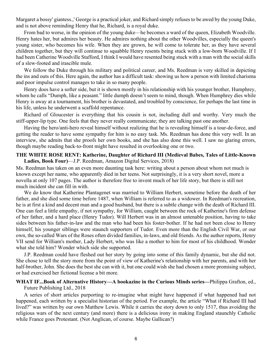Margaret a bossy' giantess.,' George is a practical joker, and Richard simply refuses to be awed by the young Duke, and is not above reminding Henry that he, Richard, is a royal duke.

From bad to worse, in the opinion of the young duke—he becomes a ward of the queen, Elizabeth Woodville. Henry hates her, but admires her beauty. He admires nothing about the other Woodvilles, especially the queen's young sister, who becomes his wife. When they are grown, he will come to tolerate her, as they have several children together, but they will continue to squabble Henry resents being stuck with a low-born Woodville. If I had been Catherine Woodville Stafford, I think I would have resented being stuck with a man with the social skills of a slew-footed and irascible mule.

We follow the Duke through his military and political career, and Ms. Reedman is very skilled in depicting the ins and outs of this. Here again, the author has a difficult task: showing us how a person with limited charisma and poor impulse control manages to take in so many people.

Henry does have a softer side, but it is shown mostly in his relationship with his younger brother, Humphrey, whom he calls "Dumph, like a peasant." little dumph doesn't seem to mind, though. When Humphrey dies while Henry is away at a tournament, his brother is devastated, and troubled by conscience, for perhaps the last time in his life, unless he underwent a scaffold repentance.

Richard of Gloucester is everything that his cousin is not, including dull and worthy. Very much the stiff-upper-lip type. One feels that they never really communicate; they are talking past one another.

Having the hero/anti-hero reveal himself without realizing that he is revealing himself is a tour-de-force, and getting the reader to have some sympathy for him is no easy task. Ms. Reedman has done this very well. In an interview, she admits that she proofs her own books, and she has also done this well. I saw no glaring errors, though maybe reading back-to-front might have resulted in overlooking one or two.

#### **THE WHITE ROSE RENT: Katherine, Daughter of Richard III (Medieval Babes, Tales of Little-Known Ladies, Book Four)**—J.P. Reedman, Amazon Digital Services, 2018)

Ms. Reedman has taken on an even more daunting task here: writing about a person about whom not much is known except her name, who apparently died in her teens. Not surprisingly, it is a very short novel, more a novella at only 107 pages. The author is therefore free to invent much of her life story, but there is still not much incident she can fill in with.

We do know that Katherine Plantagenet was married to William Herbert, sometime before the death of her father, and she died some time before 1487, when William is referred to as a widower. In Reedman's recreation, he is at first a kind and decent man and a good husband, but there is a subtle change with the death of Richard III. One can feel a little empathy, if not sympathy, for William, caught between the rock of Katherine's firm defense of her father, and a hard place (Henry Tudor). Will Herbert was in an almost untenable position, having to take sides between his father-in-law and the man who had been his foster-bother. If he had not been close to Henry himself, his younger siblings were staunch supporters of Tudor. Even more than the English Civil War, or our own, the so-called Wars of the Roses often divided families, in-laws, and old friends. As the author reports, Henry VII send for William's mother, Lady Herbert, who was like a mother to him for most of his childhood. Wonder what she told him? Wonder which side she supported.

J.P. Reedman could have fleshed out her story by going into some of this family dynamic, but she did not. She chose to tell the story more from the point of view of Katherine's relationship with her parents, and with her half-brother, John. She does the best she can with it, but one could wish she had chosen a more promising subject, or had exercised her fictional license a bit more.

## **WHAT IF...Book of Alternative History—A bookazine in the Curious Minds series—**Philippa Grafton, ed.,

Future Publishing Ltd., 2018

A series of short articles purporting to re-imagine what might have happened if what happened had not happened, each written by a specialist historian of the period. For example, the article "What if Richard III had lived?" was written by our own Matthew Lewis. While it carries the story down to only 1517, thus avoiding the religious wars of the next century (and more) there is a delicious irony in making England staunchly Catholic while France goes Protestant. (Not Anglican, of course. Maybe Gallican?)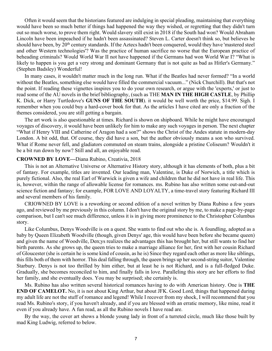Often it would seem that the historians featured are indulging in special pleading, maintaining that everything would have been so much better if things had happened the way they wished, or regretting that they didn't turn out so much worse, to prove them right. Would slavery still exist in 2018 if the South had won? Would Abraham Lincoln have been impeached if he hadn't been assassinated? Steven L. Carter doesn't think so, but believes he should have been, by 20<sup>th</sup> century standards. If the Aztecs hadn't been conquered, would they have 'mastered steel and other Western technologies'? Was the practice of human sacrifice no worse that the European practice of beheading criminals? Would World War II not have happened if the Germans had won World War I? "What is likely to happen is you get a very strong and dominant Germany that is not quite as bad as Hitler's Germany." (Stephen Badsley) Wonderful!

In many cases, it wouldn't matter much in the long run. What if the Beatles had never formed? "In a world without the Beatles, something else would have filled the commercial vacuum..." (Nick Churchill). But that's not the point. If reading these vignettes inspires you to do your own research, or argue with the 'experts,' or just to read some of the AU novels in the brief bibliography, (such as THE **MAN IN THE HIGH CASTLE**, by Phillip K. Dick, or Harry Turtledove's **GUNS OF THE SOUTH**). it would be well worth the price, \$14.99. Sigh. I remember when you could buy a hard-cover book for that. As the articles I have cited are only a fraction of the themes considered, you are still getting a bargain.

The art work is also questionable at times. Richard is shown on shipboard. While he might have encouraged voyages of discovery, it would have been unlikely for him to make any such voyages in person. The next chapter "What if Henry VIII and Catherine of Aragon had a son?" shows the Christ of the Andes statute in modern-day London. A bit odd, that. Of course, they did have a son, but the author obviously means a son who survived. What if Rome never fell, and gladiators commuted on steam trains, alongside a pristine Coliseum? Wouldn't it be a bit run down by now? Still and all, an enjoyable read.

#### **CROWNED BY LOVE—**Diana Rubino, Creativia, 2018

This is not an Alternative Universe or Alternative History story, although it has elements of both, plus a bit of fantasy. For example, titles are invented. Our leading man, Valentine, is Duke of Norwich, a title which is purely fictional. Also, the real Earl of Warwick is given a wife and children that he did not have in real life. This is, however, within the range of allowable license for romances. ms. Rubino has also written some out-and-out science fiction and fantasy; for example, FOR LOVE AND LOYALTY, a time-travel story featuring Richard III and several members of his family.

CRIOWNED BY LOVE is a reworking or second edition of a novel written by Diana Rubino a few years ago, and reviewed by me previously in this column. I don't have the original story by me, to make a page-by-page comparison, but I can't see much difference, unless it is in giving more prominence to the Christopher Columbus story.

Like Columbus, Denys Woodville is on a quest. She wants to find out who she is. A foundling, adopted as a baby by Queen Elizabeth Woodville (though, given Denys' age, this would have been before she became queen) and given the name of Woodville, Den;ys realizes the advantages this has brought her, but still wants to find her birth parents. As she grows up, the queen tries to make a marriage alliance for her, first with her cousin Richard of Gloucester (she is certain he is some kind of cousin, as he is) Since they regard each other as more like siblings, this fills both of them with horror. This deal falling through, the queen brings up her second-string suitor, Valentine Starbury. Denys is not too thrilled by him either, but at least he is not Richard, and is a full-fledged Duke. Gradually, she becomes reconciled to him, and finally falls in love. Paralleling this story are her efforts to find her family, and she eventually does. You may be surprised; she certainly is.

Ms. Rubino has also written several historical romances having to do with American history. One is **THE END OF CAMELOT.** No, it is not about King Arthur, but about JFK. Good Lord, things that happened during my adult life are not the stuff of romance and legend! While I recover from my shock, I will recommend that you read Ms. Rubino's story, if you haven't already, and if you are blessed with an erratic memory, like mine, read it even if you already have. A fun read, as all the Rubino novels I have read are.

By the way, the cover art shows a blonde young lady in front of a turreted circle, much like those built by mad King Ludwig, referred to below.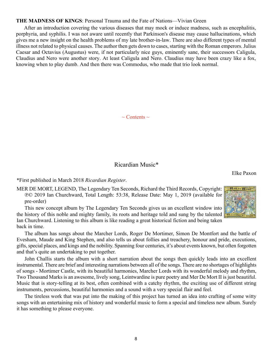#### <span id="page-7-0"></span>**THE MADNESS OF KINGS**: Personal Trauma and the Fate of Nations—Vivian Green

After an introduction covering the various diseases that may mock or induce madness, such as encephalitis, porphyria, and syphilis. I was not aware until recently that Parkinson's disease may cause hallucinations, which gives me a new insight on the health problems of my late brother-in-law. There are also different types of mental illness not related to physical causes. The author then gets down to cases, starting with the Roman emperors. Julius Caesar and Octavius (Augustus) were, if not particularly nice guys, eminently sane, their successors Caligula, Claudius and Nero were another story. At least Caligula and Nero. Claudius may have been crazy like a fox, knowing when to play dumb. And then there was Commodus, who made that trio look normal.

 $\sim$  Contents  $\sim$ 

#### Ricardian Music\*

Elke Paxon

\*First published in March 2018 *Ricardian Register*.

MER DE MORT, LEGEND, The Legendary Ten Seconds, Richard the Third Records, Copyright: ℗© 2019 Ian Churchward, Total Length: 53:38, Release Date: May 1, 2019 (available for pre-order)

This new concept album by The Legendary Ten Seconds gives us an excellent window into the history of this noble and mighty family, its roots and heritage told and sung by the talented Ian Churchward. Listening to this album is like reading a great historical fiction and being taken back in time.

The album has songs about the Marcher Lords, Roger De Mortimer, Simon De Montfort and the battle of Evesham, Maude and King Stephen, and also tells us about follies and treachery, honour and pride, executions, gifts, special places, and kings and the nobility. Spanning four centuries, it's about events known, but often forgotten and that's quite an undertaking to put together.

John Challis starts the album with a short narration about the songs then quickly leads into an excellent instrumental. There are brief and interesting narrations between all of the songs. There are no shortages of highlights of songs - Mortimer Castle, with its beautiful harmonies, Marcher Lords with its wonderful melody and rhythm, Two Thousand Marks is an awesome, lively song, Leintwardine is pure poetry and Mer De Mort II is just beautiful. Music that is story-telling at its best, often combined with a catchy rhythm, the exciting use of different string instruments, percussions, beautiful harmonies and a sound with a very special flair and feel.

The tireless work that was put into the making of this project has turned an idea into crafting of some witty songs with an entertaining mix of history and wonderful music to form a special and timeless new album. Surely it has something to please everyone.

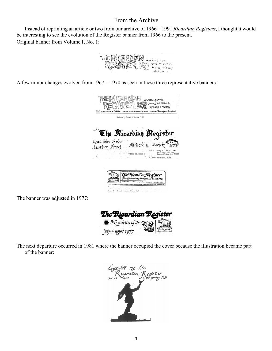### From the Archive

<span id="page-8-0"></span>Instead of reprinting an article or two from our archive of 1966 – 1991 *Ricardian Registers*, I thought it would be interesting to see the evolution of the Register banner from 1966 to the present. Original banner from Volume I, No. 1:



A few minor changes evolved from 1967 – 1970 as seen in these three representative banners:



The banner was adjusted in 1977:



The next departure occurred in 1981 where the banner occupied the cover because the illustration became part of the banner:

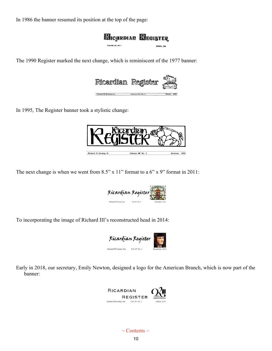In 1986 the banner resumed its position at the top of the page:



The 1990 Register marked the next change, which is reminiscent of the 1977 banner:



In 1995, The Register banner took a stylistic change:



The next change is when we went from  $8.5$ " x  $11$ " format to a  $6$ " x  $9$ " format in 2011:



To incorporating the image of Richard III's reconstructed head in 2014:



Early in 2018, our secretary, Emily Newton, designed a logo for the American Branch, which is now part of the banner:

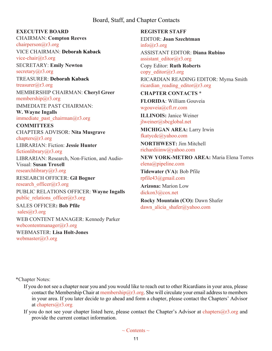#### Board, Staff, and Chapter Contacts

#### <span id="page-10-0"></span>**EXECUTIVE BOARD**

CHAIRMAN: **Compton Reeves** [chairperson@r3.org](mailto:chairperson@r3.org)

VICE CHAIRMAN: **Deborah Kaback** [vice-chair@r3.org](mailto:vice-chair@r3.org)

SECRETARY: **Emily Newton** secretary $(a)$ r3.org

TREASURER: **Deborah Kaback** [treasurer@r3.org](mailto:treasurer@r3.org) MEMBERSHIP CHAIRMAN: **Cheryl Greer** [membership@r3.org](mailto:membership@r3.org)

IMMEDIATE PAST CHAIRMAN:

**W. Wayne Ingalls** immediate past chairman $@r3.org$ 

**COMMITTEES** CHAPTERS ADVISOR: **Nita Musgrave** [chapters@r3.org](mailto:chapters@r3.org)

LIBRARIAN: Fiction: **Jessie Hunter** [fictionlibrary@r3.org](mailto:fictionlibrary@r3.org)

LIBRARIAN: Research, Non-Fiction, and Audio-Visual: **Susan Troxell**

[researchlibrary@r3.org](mailto:researchlibrary@r3.org)

RESEARCH OFFICER: **Gil Bogner** research officer@r3.org PUBLIC RELATIONS OFFICER: **Wayne Ingalls** public relations officer $(\partial x)$ 3.org

SALES OFFICER**: Bob Pfile** [sales@r3.org](mailto:sales@r3.org) WEB CONTENT MANAGER: Kennedy Parker webcontentmanager $(\widehat{a}_{r}$ 3.org WEBMASTER: **Lisa Holt-Jones** [webmaster@r3.org](mailto:webmaster@r3.org)

**REGISTER STAFF** EDITOR: **Joan Szechtman**  $info@r3.org$ ASSISTANT EDITOR: **Diana Rubino** [assistant\\_editor@r3.org](mailto:assistant_editor@r3.org) Copy Editor: **Ruth Roberts** copy editor@r3.org RICARDIAN READING EDITOR: Myrna Smith ricardian reading editor@r3.org **CHAPTER CONTACTS** \*

**FLORIDA**: William Gouveia [wgouveia@cfl.rr.com](mailto:wgouveia@cfl.rr.com)

**ILLINOIS:** Janice Weiner [jlweiner@sbcglobal.net](mailto:jlweiner@sbcglobal.net)

**MICHIGAN AREA:** Larry Irwin [fkatycdc@yahoo.com](mailto:fkatycdc@yahoo.com)

**NORTHWEST:** Jim Mitchell [richardiiinw@yahoo.com](mailto:richardiiinw@yahoo.com)

**NEW YORK-METRO AREA:** Maria Elena Torres [elena@pipeline.com](mailto:elena@pipeline.com)

**Tidewater (VA):** Bob Pfile [rpfile43@gmail.com](mailto:rpfile43@gmail.com)

**Arizona:** Marion Low [dickon3@cox.net](mailto:dickon3@cox.net)

**Rocky Mountain (CO):** Dawn Shafer dawn alicia shafer@yahoo.com

\*Chapter Notes:

- If you do not see a chapter near you and you would like to reach out to other Ricardians in your area, please contact the Membership Chair at [membership@r3.org](mailto:membership@r3.org). She will circulate your email address to members in your area. If you later decide to go ahead and form a chapter, please contact the Chapters' Advisor at [chapters@r3.org](mailto:chapters@r3.org.)[.](mailto:chapters@r3.org.)
- If you do not see your chapter listed here, please contact the Chapter's Advisor at [chapters@r3.org](mailto:chapters@r3.org.) and provide the current contact information.

 $\sim$  Contents  $\sim$